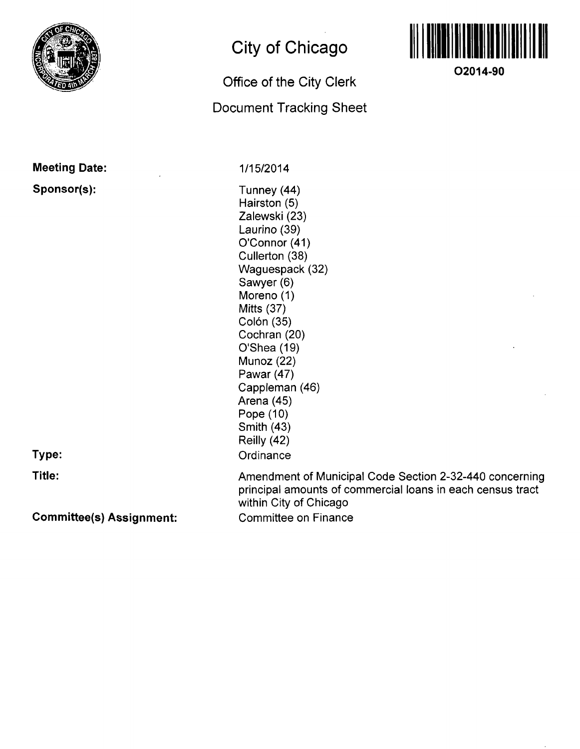

| Meeting Date: |  |
|---------------|--|
|               |  |

**Sponsor(s):** 

# **City of Chicago**

## **Office of the City Clerk**

### **Document Tracking Sheet**



**02014-90** 

1/15/2014

Tunney (44) Hairston (5) Zalewski (23) Laurino (39) O'Connor (41) Cullerton (38) Waguespack (32) Sawyer (6) Moreno (1) Mitts (37) Colón (35) Cochran (20) O'Shea (19) Munoz (22) Pawar (47) Cappleman (46) Arena (45) Pope (10) Smith (43) Reilly (42) **Ordinance** 

**Type:** 

**Title:** 

Amendment of Municipal Code Section 2-32-440 concerning principal amounts of commercial loans in each census tract within City of Chicago Committee on Finance

**Committee(s) Assignment:**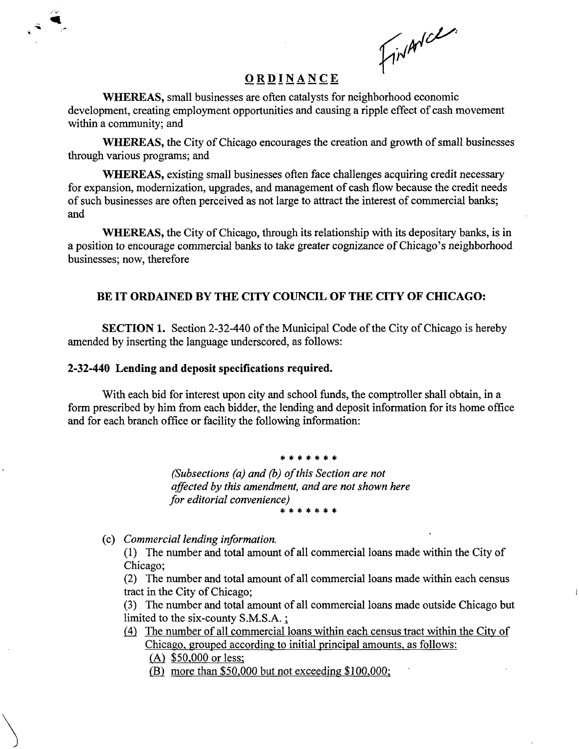Finance.

### **ORDINANC E**

WHEREAS, small businesses are often catalysts for neighborhood economic development, creating employment opportunities and causing a ripple effect of cash movement within a community; and

WHEREAS, the City of Chicago encourages the creation and growth of small businesses through various programs; and

WHEREAS, existing small businesses often face challenges acquiring credit necessary for expansion, modernization, upgrades, and management of cash flow because the credit needs of such businesses are often perceived as not large to attract the interest of commercial banks; and

WHEREAS, the City of Chicago, through its relationship with its depositary banks, is in a position to encourage commercial banks to take greater cognizance of Chicago's neighborhood businesses; now, therefore

#### **BE IT ORDAINED BY THE CITY COUNCIL OF THE CITY OF CHICAGO:**

SECTION 1. Section 2-32-440 of the Municipal Code of the City of Chicago is hereby amended by inserting the language underscored, as follows:

#### **2-32-440 Lending and deposit specifications required.**

With each bid for interest upon city and school funds, the comptroller shall obtain, in a form prescribed by him from each bidder, the lending and deposit information for its home office and for each branch office or facility the following information:

**^ \* \* ^ \* \*** 

*(Subsections (a) and (b) of this Section are not affected by this amendment, and are not shown here for editorial convenience)*  **jfc 9}c 9(C 9^ !|! ^ ]|C** 

*(c) Commercial lending information.* 

(1) The number and total amount of all commercial loans made within the City of Chicago;

(2) The number and total amount of all commercial loans made within each census tract in the City of Chicago;

(3) The number and total amount of all commercial loans made outside Chicago but limited to the six-county S.M.S.A. ;

(4) The number of all commercial loans within each census tract within the City of Chicago, grouped according to initial principal amounts, as follows:

(A) \$50.000 or less:

(B) more than \$50.000 but not exceeding \$100.000: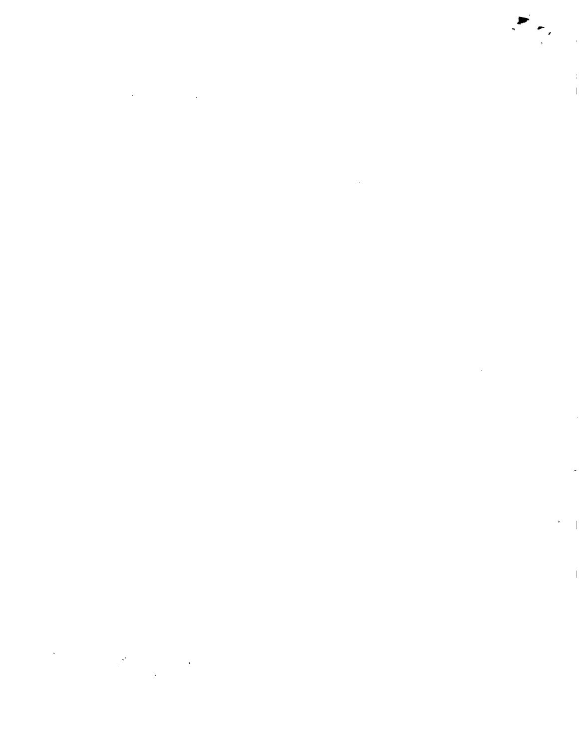$\begin{array}{c} \begin{array}{c} \begin{array}{c} \end{array} \\ \begin{array}{c} \end{array} \end{array} \end{array}$ 

 $\tilde{z}$ 

 $\label{eq:2.1} \frac{1}{2} \sum_{i=1}^n \frac{1}{2} \sum_{j=1}^n \frac{1}{2} \sum_{j=1}^n \frac{1}{2} \sum_{j=1}^n \frac{1}{2} \sum_{j=1}^n \frac{1}{2} \sum_{j=1}^n \frac{1}{2} \sum_{j=1}^n \frac{1}{2} \sum_{j=1}^n \frac{1}{2} \sum_{j=1}^n \frac{1}{2} \sum_{j=1}^n \frac{1}{2} \sum_{j=1}^n \frac{1}{2} \sum_{j=1}^n \frac{1}{2} \sum_{j=1}^n \frac{$ 

 $\label{eq:2.1} \frac{1}{\sqrt{2}}\int_{\mathbb{R}^3}\frac{1}{\sqrt{2}}\left(\frac{1}{\sqrt{2}}\right)^2\frac{1}{\sqrt{2}}\left(\frac{1}{\sqrt{2}}\right)^2\frac{1}{\sqrt{2}}\left(\frac{1}{\sqrt{2}}\right)^2\frac{1}{\sqrt{2}}\left(\frac{1}{\sqrt{2}}\right)^2.$ 

 $\frac{1}{2}$ 

 $\frac{1}{2}$